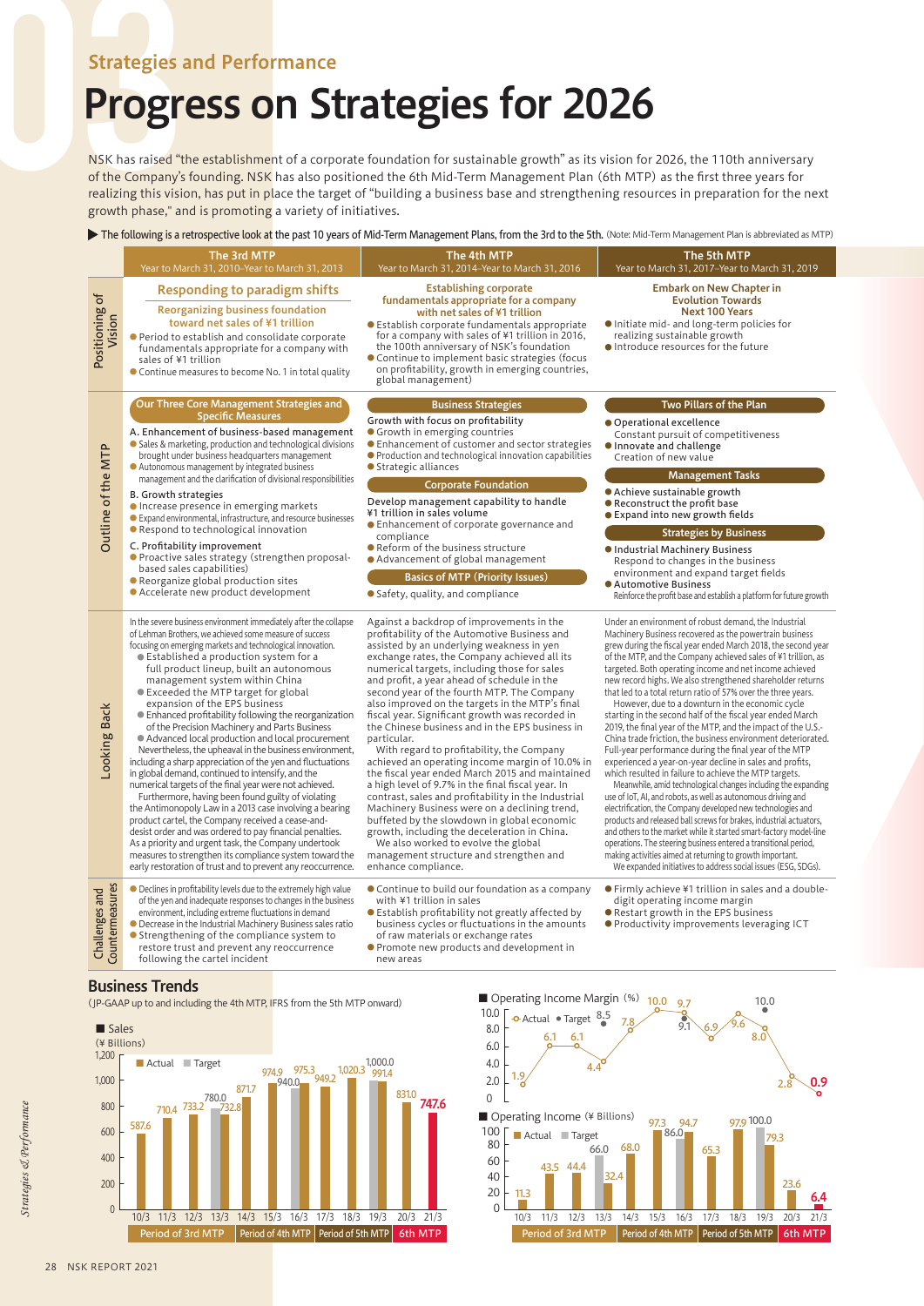## Strategies and Performance

## Progress on Strategies for 2026

NSK has raised "the establishment of a corporate foundation for sustainable growth" as its vision for 2026, the 110th anniversary of the Company's founding. NSK has also positioned the 6th Mid-Term Management Plan (6th MTP) as the first three years for realizing this vision, has put in place the target of "building a business base and strengthening resources in preparation for the next growth phase," and is promoting a variety of initiatives.

## The following is a retrospective look at the past 10 years of Mid-Term Management Plans, from the 3rd to the 5th. (Note: Mid-Term Management Plan is abbreviated as MTP)

|                                   | The 3rd MTP<br>Year to March 31, 2010-Year to March 31, 2013                                                                                                                                                                                                                                                                                                                                                                                                                                                                                                                                                                                                                                                                                                                                                                                                                                                                                                                                                                                                                                                                                                                                                          |  | The 4th MTP<br>Year to March 31, 2014-Year to March 31, 2016                                                                                                                                                                                                                                                                                                                                                                                                                                                                                                                                                                                                                                                                                                                                                                                                                                                                                                                                                                        | The 5th MTP<br>Year to March 31, 2017-Year to March 31, 2019                                                                                                                                                                                                                                                                                                                                                                                                                                                                                                                                                                                                                                                                                                                                                                                                                                                                                                                                                                                                                                                                                                                                                                                                                                                                                                                                                                  |
|-----------------------------------|-----------------------------------------------------------------------------------------------------------------------------------------------------------------------------------------------------------------------------------------------------------------------------------------------------------------------------------------------------------------------------------------------------------------------------------------------------------------------------------------------------------------------------------------------------------------------------------------------------------------------------------------------------------------------------------------------------------------------------------------------------------------------------------------------------------------------------------------------------------------------------------------------------------------------------------------------------------------------------------------------------------------------------------------------------------------------------------------------------------------------------------------------------------------------------------------------------------------------|--|-------------------------------------------------------------------------------------------------------------------------------------------------------------------------------------------------------------------------------------------------------------------------------------------------------------------------------------------------------------------------------------------------------------------------------------------------------------------------------------------------------------------------------------------------------------------------------------------------------------------------------------------------------------------------------------------------------------------------------------------------------------------------------------------------------------------------------------------------------------------------------------------------------------------------------------------------------------------------------------------------------------------------------------|-------------------------------------------------------------------------------------------------------------------------------------------------------------------------------------------------------------------------------------------------------------------------------------------------------------------------------------------------------------------------------------------------------------------------------------------------------------------------------------------------------------------------------------------------------------------------------------------------------------------------------------------------------------------------------------------------------------------------------------------------------------------------------------------------------------------------------------------------------------------------------------------------------------------------------------------------------------------------------------------------------------------------------------------------------------------------------------------------------------------------------------------------------------------------------------------------------------------------------------------------------------------------------------------------------------------------------------------------------------------------------------------------------------------------------|
| Positioning of<br>Vision          | <b>Responding to paradigm shifts</b><br><b>Reorganizing business foundation</b><br>toward net sales of ¥1 trillion<br>Period to establish and consolidate corporate<br>fundamentals appropriate for a company with<br>sales of ¥1 trillion<br>Continue measures to become No. 1 in total quality                                                                                                                                                                                                                                                                                                                                                                                                                                                                                                                                                                                                                                                                                                                                                                                                                                                                                                                      |  | <b>Establishing corporate</b><br>fundamentals appropriate for a company<br>with net sales of ¥1 trillion<br><b>Establish corporate fundamentals appropriate</b><br>for a company with sales of ¥1 trillion in 2016,<br>the 100th anniversary of NSK's foundation<br>• Continue to implement basic strategies (focus<br>on profitability, growth in emerging countries,<br>global management)                                                                                                                                                                                                                                                                                                                                                                                                                                                                                                                                                                                                                                        | <b>Embark on New Chapter in</b><br><b>Evolution Towards</b><br><b>Next 100 Years</b><br>Initiate mid- and long-term policies for<br>realizing sustainable growth<br>Introduce resources for the future                                                                                                                                                                                                                                                                                                                                                                                                                                                                                                                                                                                                                                                                                                                                                                                                                                                                                                                                                                                                                                                                                                                                                                                                                        |
| Outline of the MTP                | Our Three Core Management Strategies and<br><b>Specific Measures</b><br>A. Enhancement of business-based management<br>Sales & marketing, production and technological divisions<br>brought under business headquarters management<br>Autonomous management by integrated business<br>management and the clarification of divisional responsibilities<br><b>B.</b> Growth strategies<br>Increase presence in emerging markets<br>Expand environmental, infrastructure, and resource businesses<br>● Respond to technological innovation<br>C. Profitability improvement<br>• Proactive sales strategy (strengthen proposal-<br>based sales capabilities)<br>Reorganize global production sites<br>• Accelerate new product development                                                                                                                                                                                                                                                                                                                                                                                                                                                                                |  | <b>Business Strategies</b><br>Growth with focus on profitability<br><b>Growth in emerging countries</b><br>• Enhancement of customer and sector strategies<br>● Production and technological innovation capabilities<br>● Strategic alliances<br><b>Corporate Foundation</b><br>Develop management capability to handle<br>¥1 trillion in sales volume<br>• Enhancement of corporate governance and<br>compliance<br>Reform of the business structure<br>• Advancement of global management<br><b>Basics of MTP (Priority Issues)</b><br>• Safety, quality, and compliance                                                                                                                                                                                                                                                                                                                                                                                                                                                          | Two Pillars of the Plan<br>● Operational excellence<br>Constant pursuit of competitiveness<br>Innovate and challenge<br>Creation of new value<br><b>Management Tasks</b><br>• Achieve sustainable growth<br>● Reconstruct the profit base<br>● Expand into new growth fields<br><b>Strategies by Business</b><br>Industrial Machinery Business<br>Respond to changes in the business<br>environment and expand target fields<br><b>Automotive Business</b><br>Reinforce the profit base and establish a platform for future growth                                                                                                                                                                                                                                                                                                                                                                                                                                                                                                                                                                                                                                                                                                                                                                                                                                                                                            |
| Looking Back                      | In the severe business environment immediately after the collapse<br>of Lehman Brothers, we achieved some measure of success<br>focusing on emerging markets and technological innovation.<br>● Established a production system for a<br>full product lineup, built an autonomous<br>management system within China<br>● Exceeded the MTP target for global<br>expansion of the EPS business<br>• Enhanced profitability following the reorganization<br>of the Precision Machinery and Parts Business<br>Advanced local production and local procurement<br>Nevertheless, the upheaval in the business environment,<br>including a sharp appreciation of the yen and fluctuations<br>in global demand, continued to intensify, and the<br>numerical targets of the final year were not achieved.<br>Furthermore, having been found guilty of violating<br>the Antimonopoly Law in a 2013 case involving a bearing<br>product cartel, the Company received a cease-and-<br>desist order and was ordered to pay financial penalties.<br>As a priority and urgent task, the Company undertook<br>measures to strengthen its compliance system toward the<br>early restoration of trust and to prevent any reoccurrence. |  | Against a backdrop of improvements in the<br>profitability of the Automotive Business and<br>assisted by an underlying weakness in yen<br>exchange rates, the Company achieved all its<br>numerical targets, including those for sales<br>and profit, a year ahead of schedule in the<br>second year of the fourth MTP. The Company<br>also improved on the targets in the MTP's final<br>fiscal year. Significant growth was recorded in<br>the Chinese business and in the EPS business in<br>particular.<br>With regard to profitability, the Company<br>achieved an operating income margin of 10.0% in<br>the fiscal year ended March 2015 and maintained<br>a high level of 9.7% in the final fiscal year. In<br>contrast, sales and profitability in the Industrial<br>Machinery Business were on a declining trend,<br>buffeted by the slowdown in global economic<br>growth, including the deceleration in China.<br>We also worked to evolve the global<br>management structure and strengthen and<br>enhance compliance. | Under an environment of robust demand, the Industrial<br>Machinery Business recovered as the powertrain business<br>grew during the fiscal year ended March 2018, the second year<br>of the MTP, and the Company achieved sales of ¥1 trillion, as<br>targeted. Both operating income and net income achieved<br>new record highs. We also strengthened shareholder returns<br>that led to a total return ratio of 57% over the three years.<br>However, due to a downturn in the economic cycle<br>starting in the second half of the fiscal year ended March<br>2019, the final year of the MTP, and the impact of the U.S.-<br>China trade friction, the business environment deteriorated.<br>Full-year performance during the final year of the MTP<br>experienced a year-on-year decline in sales and profits,<br>which resulted in failure to achieve the MTP targets.<br>Meanwhile, amid technological changes including the expanding<br>use of IoT, AI, and robots, as well as autonomous driving and<br>electrification, the Company developed new technologies and<br>products and released ball screws for brakes, industrial actuators,<br>and others to the market while it started smart-factory model-line<br>operations. The steering business entered a transitional period,<br>making activities aimed at returning to growth important.<br>We expanded initiatives to address social issues (ESG, SDGs). |
| Challenges and<br>Countermeasures | • Declines in profitability levels due to the extremely high value<br>of the yen and inadequate responses to changes in the business<br>environment, including extreme fluctuations in demand<br>• Decrease in the Industrial Machinery Business sales ratio<br>● Strengthening of the compliance system to<br>restore trust and prevent any reoccurrence<br>following the cartel incident                                                                                                                                                                                                                                                                                                                                                                                                                                                                                                                                                                                                                                                                                                                                                                                                                            |  | • Continue to build our foundation as a company<br>with ¥1 trillion in sales<br>• Establish profitability not greatly affected by<br>business cycles or fluctuations in the amounts<br>of raw materials or exchange rates<br>● Promote new products and development in<br>new areas                                                                                                                                                                                                                                                                                                                                                                                                                                                                                                                                                                                                                                                                                                                                                 | • Firmly achieve ¥1 trillion in sales and a double-<br>digit operating income margin<br>Restart growth in the EPS business<br>● Productivity improvements leveraging ICT                                                                                                                                                                                                                                                                                                                                                                                                                                                                                                                                                                                                                                                                                                                                                                                                                                                                                                                                                                                                                                                                                                                                                                                                                                                      |
| <b>Business Trends</b>            |                                                                                                                                                                                                                                                                                                                                                                                                                                                                                                                                                                                                                                                                                                                                                                                                                                                                                                                                                                                                                                                                                                                                                                                                                       |  | avatin a La sana a Mavain (0/)                                                                                                                                                                                                                                                                                                                                                                                                                                                                                                                                                                                                                                                                                                                                                                                                                                                                                                                                                                                                      |                                                                                                                                                                                                                                                                                                                                                                                                                                                                                                                                                                                                                                                                                                                                                                                                                                                                                                                                                                                                                                                                                                                                                                                                                                                                                                                                                                                                                               |

(JP-GAAP up to and including the 4th MTP, IFRS from the 5th MTP onward)